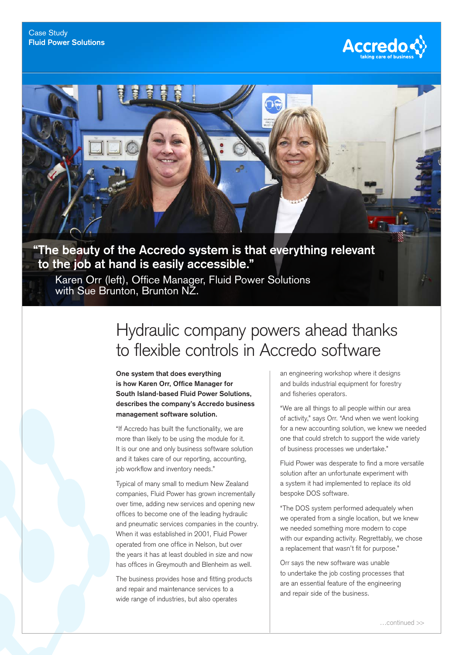



## **"The beauty of the Accredo system is that everything relevant to the job at hand is easily accessible."**

Karen Orr (left), Office Manager, Fluid Power Solutions with Sue Brunton, Brunton NZ.

## Hydraulic company powers ahead thanks to flexible controls in Accredo software

**One system that does everything is how Karen Orr, Office Manager for South Island‑based Fluid Power Solutions, describes the company's Accredo business management software solution.**

"If Accredo has built the functionality, we are more than likely to be using the module for it. It is our one and only business software solution and it takes care of our reporting, accounting, job workflow and inventory needs."

Typical of many small to medium New Zealand companies, Fluid Power has grown incrementally over time, adding new services and opening new offices to become one of the leading hydraulic and pneumatic services companies in the country. When it was established in 2001, Fluid Power operated from one office in Nelson, but over the years it has at least doubled in size and now has offices in Greymouth and Blenheim as well.

The business provides hose and fitting products and repair and maintenance services to a wide range of industries, but also operates

an engineering workshop where it designs and builds industrial equipment for forestry and fisheries operators.

"We are all things to all people within our area of activity," says Orr. "And when we went looking for a new accounting solution, we knew we needed one that could stretch to support the wide variety of business processes we undertake."

Fluid Power was desperate to find a more versatile solution after an unfortunate experiment with a system it had implemented to replace its old bespoke DOS software.

"The DOS system performed adequately when we operated from a single location, but we knew we needed something more modern to cope with our expanding activity. Regrettably, we chose a replacement that wasn't fit for purpose."

Orr says the new software was unable to undertake the job costing processes that are an essential feature of the engineering and repair side of the business.